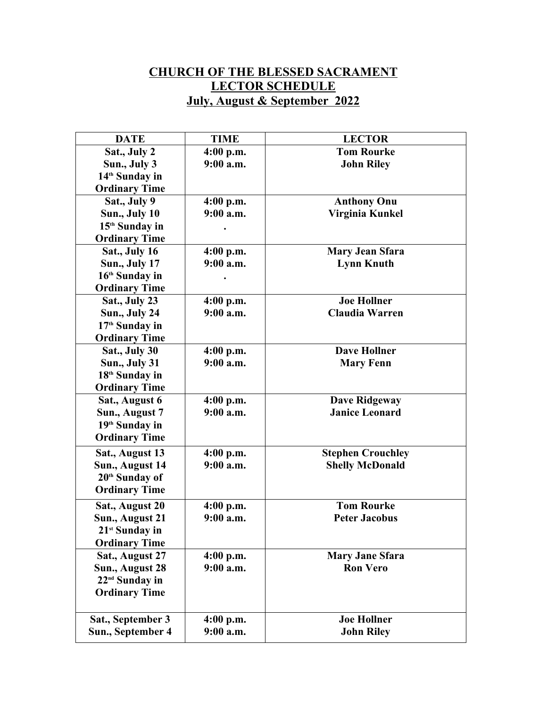## **CHURCH OF THE BLESSED SACRAMENT LECTOR SCHEDULE July, August & September 2022**

| <b>DATE</b>                | <b>TIME</b> | <b>LECTOR</b>            |  |
|----------------------------|-------------|--------------------------|--|
| Sat., July 2               | 4:00 p.m.   | <b>Tom Rourke</b>        |  |
| Sun., July 3               | 9:00 a.m.   | <b>John Riley</b>        |  |
| 14 <sup>th</sup> Sunday in |             |                          |  |
| <b>Ordinary Time</b>       |             |                          |  |
| Sat., July 9               | $4:00$ p.m. | <b>Anthony Onu</b>       |  |
| Sun., July 10              | 9:00 a.m.   | Virginia Kunkel          |  |
| 15 <sup>th</sup> Sunday in |             |                          |  |
| <b>Ordinary Time</b>       |             |                          |  |
| Sat., July 16              | $4:00$ p.m. | <b>Mary Jean Sfara</b>   |  |
| <b>Sun., July 17</b>       | $9:00$ a.m. | <b>Lynn Knuth</b>        |  |
| 16 <sup>th</sup> Sunday in |             |                          |  |
| <b>Ordinary Time</b>       |             |                          |  |
| Sat., July 23              | $4:00$ p.m. | <b>Joe Hollner</b>       |  |
| Sun., July 24              | $9:00$ a.m. | <b>Claudia Warren</b>    |  |
| 17 <sup>th</sup> Sunday in |             |                          |  |
| <b>Ordinary Time</b>       |             |                          |  |
| Sat., July 30              | $4:00$ p.m. | <b>Dave Hollner</b>      |  |
| Sun., July 31              | $9:00$ a.m. | <b>Mary Fenn</b>         |  |
| 18 <sup>th</sup> Sunday in |             |                          |  |
| <b>Ordinary Time</b>       |             |                          |  |
| Sat., August 6             | $4:00$ p.m. | <b>Dave Ridgeway</b>     |  |
| Sun., August 7             | $9:00$ a.m. | <b>Janice Leonard</b>    |  |
| 19 <sup>th</sup> Sunday in |             |                          |  |
| <b>Ordinary Time</b>       |             |                          |  |
| Sat., August 13            | $4:00$ p.m. | <b>Stephen Crouchley</b> |  |
| Sun., August 14            | $9:00$ a.m. | <b>Shelly McDonald</b>   |  |
| 20 <sup>th</sup> Sunday of |             |                          |  |
| <b>Ordinary Time</b>       |             |                          |  |
| Sat., August 20            | $4:00$ p.m. | <b>Tom Rourke</b>        |  |
| Sun., August 21            | 9:00 a.m.   | <b>Peter Jacobus</b>     |  |
| 21 <sup>st</sup> Sunday in |             |                          |  |
| <b>Ordinary Time</b>       |             |                          |  |
| Sat., August 27            | $4:00$ p.m. | <b>Mary Jane Sfara</b>   |  |
| Sun., August 28            | $9:00$ a.m. | <b>Ron Vero</b>          |  |
| 22 <sup>nd</sup> Sunday in |             |                          |  |
| <b>Ordinary Time</b>       |             |                          |  |
|                            |             |                          |  |
| Sat., September 3          | $4:00$ p.m. | <b>Joe Hollner</b>       |  |
| Sun., September 4          | 9:00 a.m.   | <b>John Riley</b>        |  |
|                            |             |                          |  |